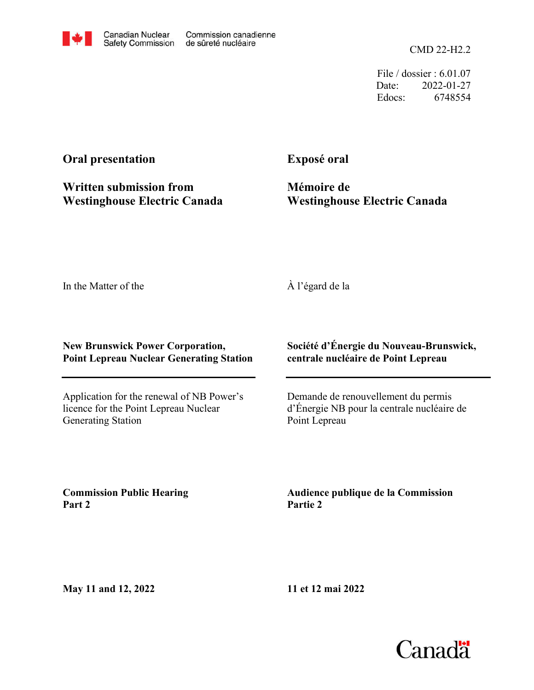CMD 22-H2.2

File / dossier : 6.01.07 Date: 2022-01-27 Edocs: 6748554

## **Oral presentation**

**Exposé oral**

**Written submission from Westinghouse Electric Canada** **Mémoire de Westinghouse Electric Canada**

In the Matter of the

À l'égard de la

## **New Brunswick Power Corporation, Point Lepreau Nuclear Generating Station**

Application for the renewal of NB Power's licence for the Point Lepreau Nuclear Generating Station

**Société d'Énergie du Nouveau-Brunswick, centrale nucléaire de Point Lepreau**

Demande de renouvellement du permis d'Énergie NB pour la centrale nucléaire de Point Lepreau

**Commission Public Hearing Part 2**

**Audience publique de la Commission Partie 2**

**May 11 and 12, 2022**

**11 et 12 mai 2022**

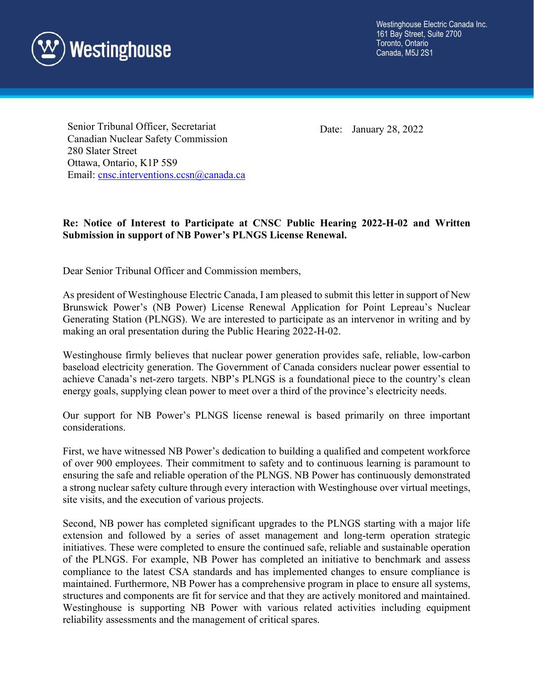

Westinghouse Electric Canada Inc. 161 Bay Street, Suite 2700 Toronto, Ontario Canada, M5J 2S1

Senior Tribunal Officer, Secretariat Canadian Nuclear Safety Commission 280 Slater Street Ottawa, Ontario, K1P 5S9 Email: cnsc.interventions.ccsn@canada.ca

Date: January 28, 2022

## Re: Notice of Interest to Participate at CNSC Public Hearing 2022-H-02 and Written Submission in support of NB Power's PLNGS License Renewal.

Dear Senior Tribunal Officer and Commission members,

As president of Westinghouse Electric Canada, I am pleased to submit this letter in support of New Brunswick Power's (NB Power) License Renewal Application for Point Lepreau's Nuclear Generating Station (PLNGS). We are interested to participate as an intervenor in writing and by making an oral presentation during the Public Hearing 2022-H-02.

Westinghouse firmly believes that nuclear power generation provides safe, reliable, low-carbon baseload electricity generation. The Government of Canada considers nuclear power essential to achieve Canada's net-zero targets. NBP's PLNGS is a foundational piece to the country's clean energy goals, supplying clean power to meet over a third of the province's electricity needs.

Our support for NB Power's PLNGS license renewal is based primarily on three important considerations.

First, we have witnessed NB Power's dedication to building a qualified and competent workforce of over 900 employees. Their commitment to safety and to continuous learning is paramount to ensuring the safe and reliable operation of the PLNGS. NB Power has continuously demonstrated a strong nuclear safety culture through every interaction with Westinghouse over virtual meetings, site visits, and the execution of various projects.

Second, NB power has completed significant upgrades to the PLNGS starting with a major life extension and followed by a series of asset management and long-term operation strategic initiatives. These were completed to ensure the continued safe, reliable and sustainable operation of the PLNGS. For example, NB Power has completed an initiative to benchmark and assess compliance to the latest CSA standards and has implemented changes to ensure compliance is maintained. Furthermore, NB Power has a comprehensive program in place to ensure all systems, structures and components are fit for service and that they are actively monitored and maintained. Westinghouse is supporting NB Power with various related activities including equipment reliability assessments and the management of critical spares.